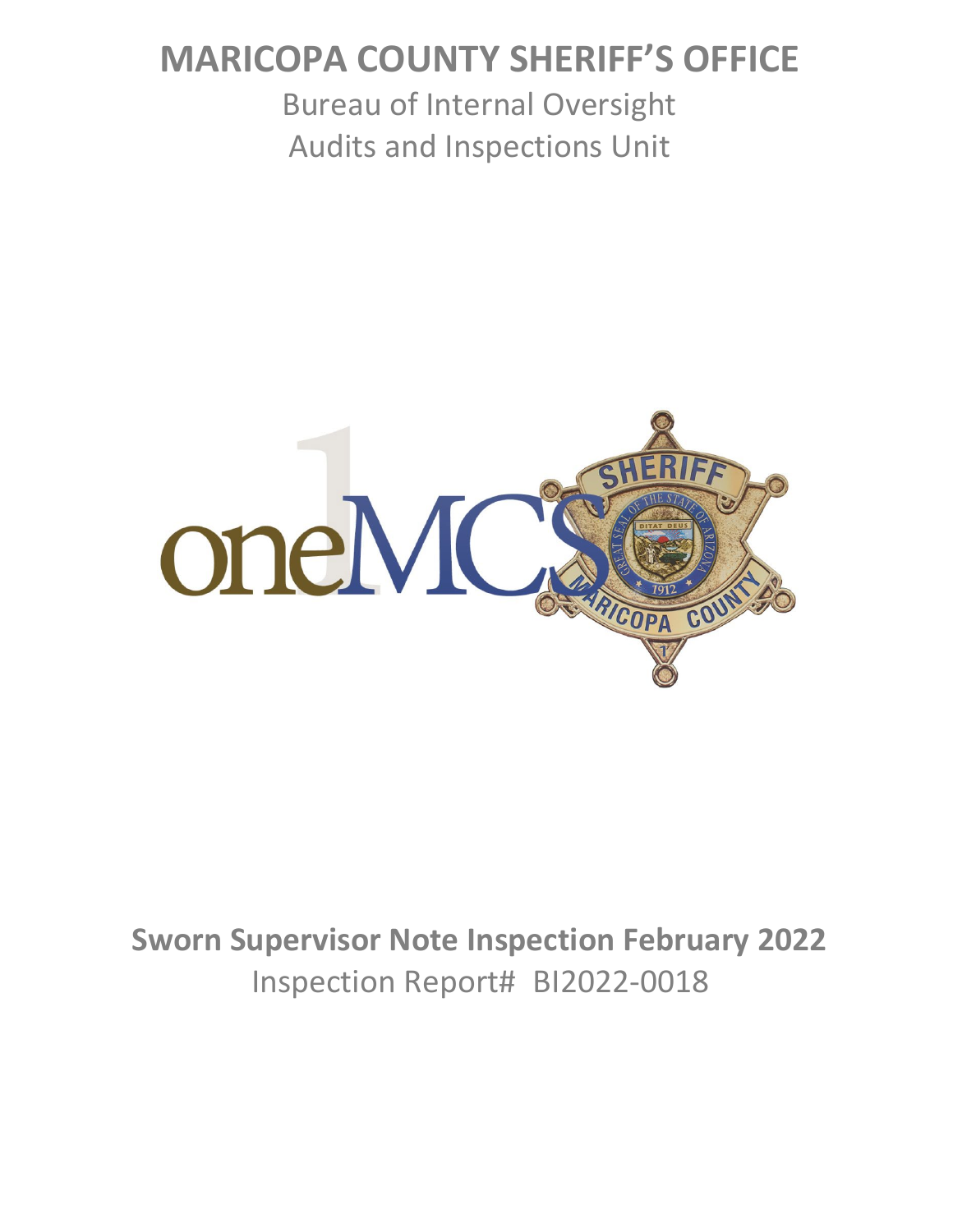# **MARICOPA COUNTY SHERIFF'S OFFICE**

Bureau of Internal Oversight Audits and Inspections Unit



# **Sworn Supervisor Note Inspection February 2022** Inspection Report# BI2022-0018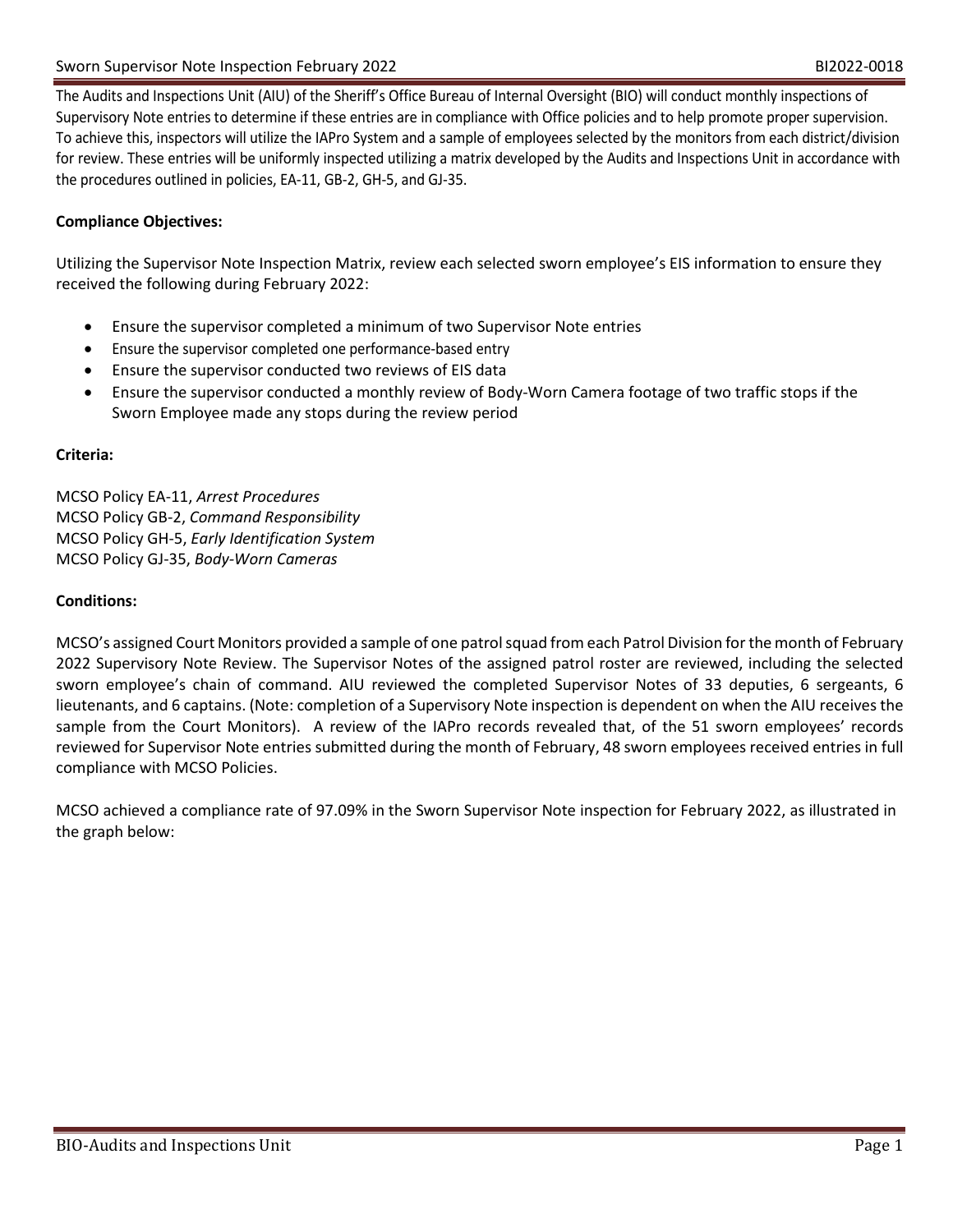The Audits and Inspections Unit (AIU) of the Sheriff's Office Bureau of Internal Oversight (BIO) will conduct monthly inspections of Supervisory Note entries to determine if these entries are in compliance with Office policies and to help promote proper supervision. To achieve this, inspectors will utilize the IAPro System and a sample of employees selected by the monitors from each district/division for review. These entries will be uniformly inspected utilizing a matrix developed by the Audits and Inspections Unit in accordance with the procedures outlined in policies, EA-11, GB-2, GH-5, and GJ-35.

### **Compliance Objectives:**

Utilizing the Supervisor Note Inspection Matrix, review each selected sworn employee's EIS information to ensure they received the following during February 2022:

- Ensure the supervisor completed a minimum of two Supervisor Note entries
- Ensure the supervisor completed one performance-based entry
- Ensure the supervisor conducted two reviews of EIS data
- Ensure the supervisor conducted a monthly review of Body-Worn Camera footage of two traffic stops if the Sworn Employee made any stops during the review period

#### **Criteria:**

MCSO Policy EA-11, *Arrest Procedures* MCSO Policy GB-2, *Command Responsibility* MCSO Policy GH-5, *Early Identification System* MCSO Policy GJ-35, *Body-Worn Cameras*

#### **Conditions:**

MCSO's assigned Court Monitors provided a sample of one patrol squad from each Patrol Division for the month of February 2022 Supervisory Note Review. The Supervisor Notes of the assigned patrol roster are reviewed, including the selected sworn employee's chain of command. AIU reviewed the completed Supervisor Notes of 33 deputies, 6 sergeants, 6 lieutenants, and 6 captains. (Note: completion of a Supervisory Note inspection is dependent on when the AIU receives the sample from the Court Monitors). A review of the IAPro records revealed that, of the 51 sworn employees' records reviewed for Supervisor Note entries submitted during the month of February, 48 sworn employees received entries in full compliance with MCSO Policies.

MCSO achieved a compliance rate of 97.09% in the Sworn Supervisor Note inspection for February 2022, as illustrated in the graph below: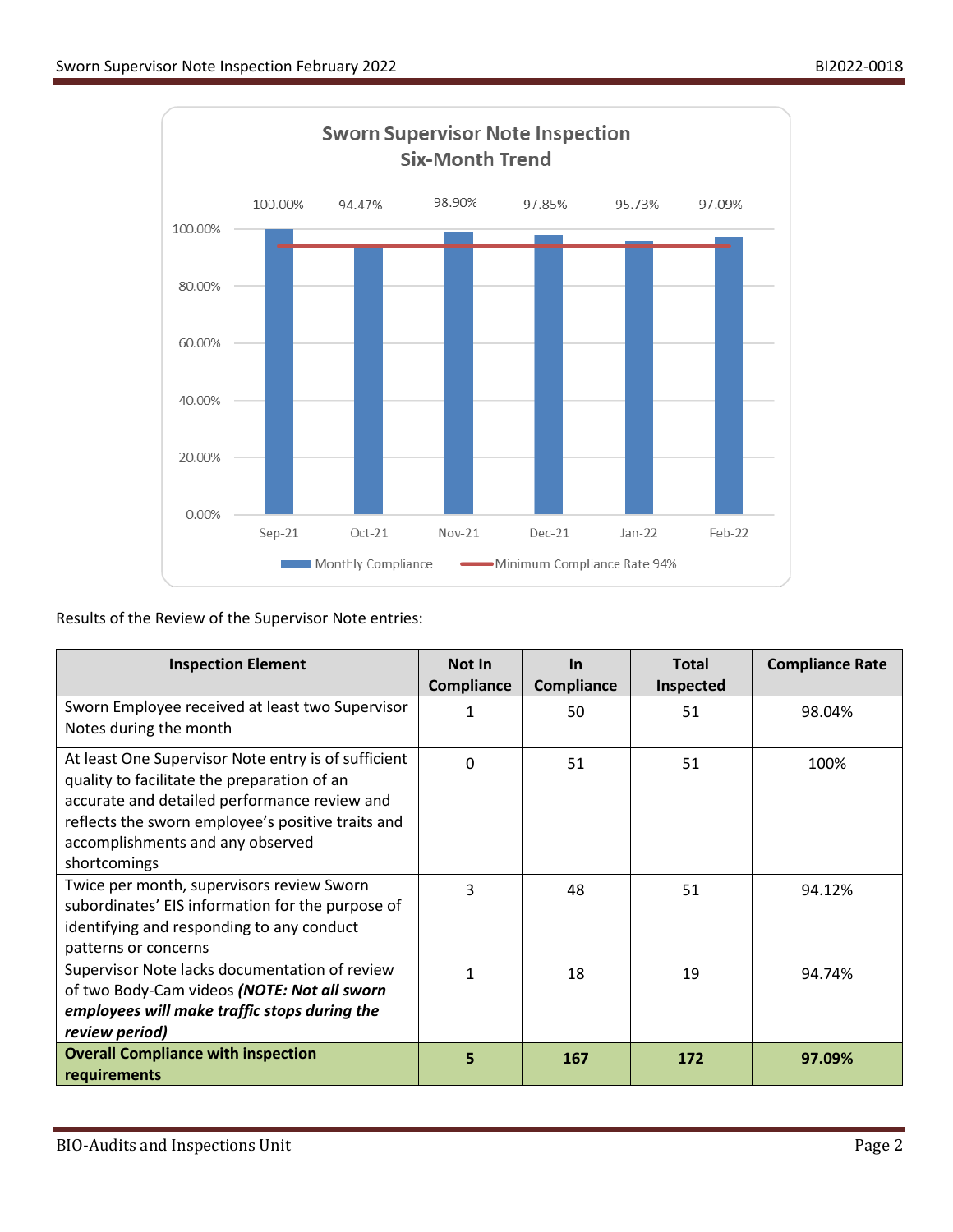

Results of the Review of the Supervisor Note entries:

| <b>Inspection Element</b>                                                                                                                                                                                                                                   | Not In<br><b>Compliance</b> | <b>In</b><br><b>Compliance</b> | <b>Total</b><br><b>Inspected</b> | <b>Compliance Rate</b> |
|-------------------------------------------------------------------------------------------------------------------------------------------------------------------------------------------------------------------------------------------------------------|-----------------------------|--------------------------------|----------------------------------|------------------------|
| Sworn Employee received at least two Supervisor<br>Notes during the month                                                                                                                                                                                   | $\mathbf{1}$                | 50                             | 51                               | 98.04%                 |
| At least One Supervisor Note entry is of sufficient<br>quality to facilitate the preparation of an<br>accurate and detailed performance review and<br>reflects the sworn employee's positive traits and<br>accomplishments and any observed<br>shortcomings | $\Omega$                    | 51                             | 51                               | 100%                   |
| Twice per month, supervisors review Sworn<br>subordinates' EIS information for the purpose of<br>identifying and responding to any conduct<br>patterns or concerns                                                                                          | 3                           | 48                             | 51                               | 94.12%                 |
| Supervisor Note lacks documentation of review<br>of two Body-Cam videos (NOTE: Not all sworn<br>employees will make traffic stops during the<br>review period)                                                                                              | 1                           | 18                             | 19                               | 94.74%                 |
| <b>Overall Compliance with inspection</b><br>requirements                                                                                                                                                                                                   | 5                           | 167                            | 172                              | 97.09%                 |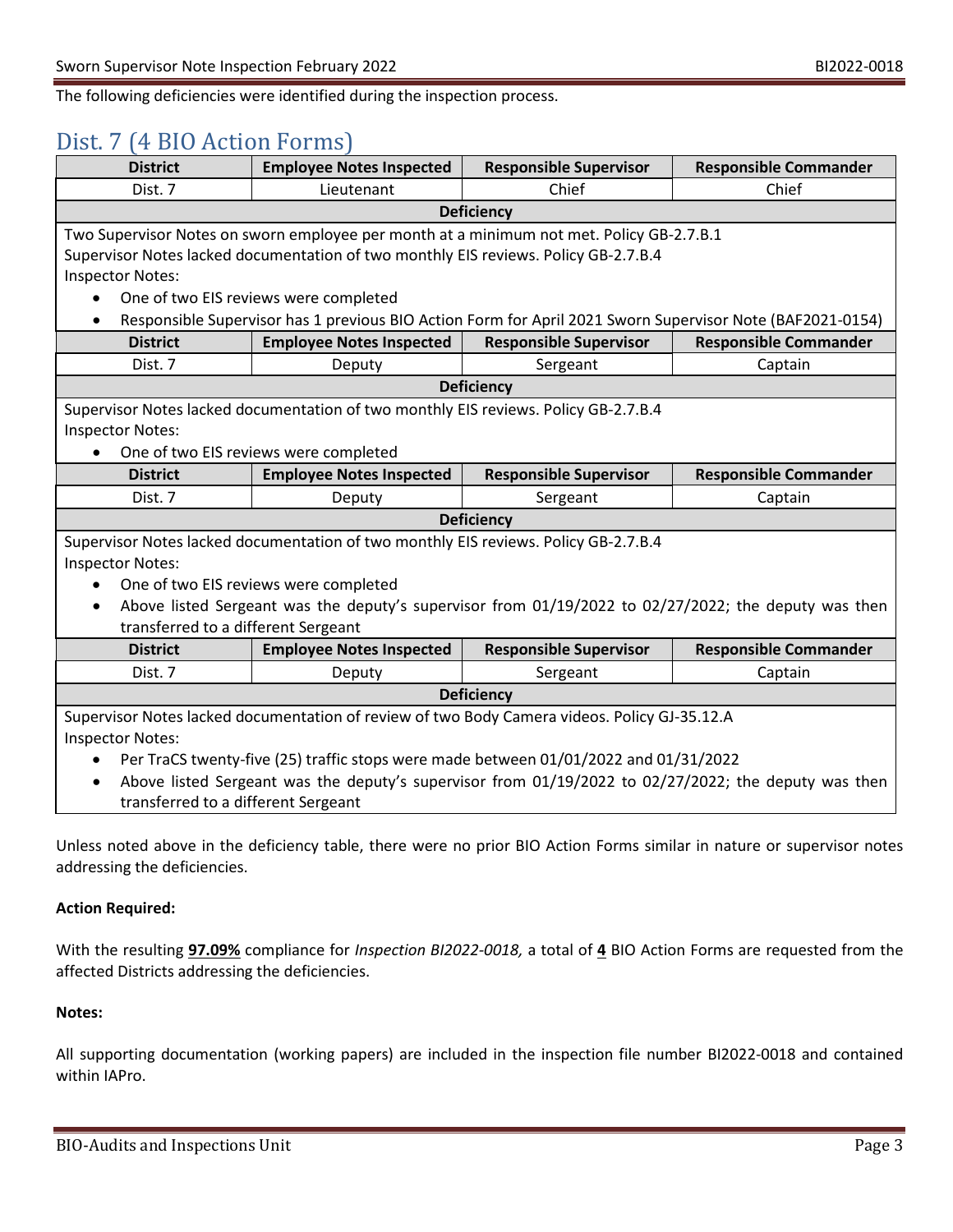The following deficiencies were identified during the inspection process.

### Dist. 7 (4 BIO Action Forms)

| <b>District</b>                                                                                                        | <b>Employee Notes Inspected</b>                                                              | <b>Responsible Supervisor</b> | <b>Responsible Commander</b>                                                                                           |  |  |  |
|------------------------------------------------------------------------------------------------------------------------|----------------------------------------------------------------------------------------------|-------------------------------|------------------------------------------------------------------------------------------------------------------------|--|--|--|
| Dist. 7                                                                                                                | Lieutenant                                                                                   | Chief                         | Chief                                                                                                                  |  |  |  |
| <b>Deficiency</b>                                                                                                      |                                                                                              |                               |                                                                                                                        |  |  |  |
|                                                                                                                        | Two Supervisor Notes on sworn employee per month at a minimum not met. Policy GB-2.7.B.1     |                               |                                                                                                                        |  |  |  |
|                                                                                                                        | Supervisor Notes lacked documentation of two monthly EIS reviews. Policy GB-2.7.B.4          |                               |                                                                                                                        |  |  |  |
| <b>Inspector Notes:</b>                                                                                                |                                                                                              |                               |                                                                                                                        |  |  |  |
| $\bullet$                                                                                                              | One of two EIS reviews were completed                                                        |                               |                                                                                                                        |  |  |  |
| Responsible Supervisor has 1 previous BIO Action Form for April 2021 Sworn Supervisor Note (BAF2021-0154)<br>$\bullet$ |                                                                                              |                               |                                                                                                                        |  |  |  |
| <b>District</b>                                                                                                        | <b>Employee Notes Inspected</b>                                                              | <b>Responsible Supervisor</b> | <b>Responsible Commander</b>                                                                                           |  |  |  |
| Dist. 7                                                                                                                | Deputy                                                                                       | Sergeant                      | Captain                                                                                                                |  |  |  |
| <b>Deficiency</b>                                                                                                      |                                                                                              |                               |                                                                                                                        |  |  |  |
| Supervisor Notes lacked documentation of two monthly EIS reviews. Policy GB-2.7.B.4                                    |                                                                                              |                               |                                                                                                                        |  |  |  |
| <b>Inspector Notes:</b>                                                                                                |                                                                                              |                               |                                                                                                                        |  |  |  |
|                                                                                                                        | One of two EIS reviews were completed                                                        |                               |                                                                                                                        |  |  |  |
| <b>District</b>                                                                                                        | <b>Employee Notes Inspected</b>                                                              | <b>Responsible Supervisor</b> | <b>Responsible Commander</b>                                                                                           |  |  |  |
| Dist. 7                                                                                                                | Deputy                                                                                       | Sergeant                      | Captain                                                                                                                |  |  |  |
|                                                                                                                        |                                                                                              | <b>Deficiency</b>             |                                                                                                                        |  |  |  |
| Supervisor Notes lacked documentation of two monthly EIS reviews. Policy GB-2.7.B.4                                    |                                                                                              |                               |                                                                                                                        |  |  |  |
| <b>Inspector Notes:</b>                                                                                                |                                                                                              |                               |                                                                                                                        |  |  |  |
| One of two EIS reviews were completed                                                                                  |                                                                                              |                               |                                                                                                                        |  |  |  |
| Above listed Sergeant was the deputy's supervisor from 01/19/2022 to 02/27/2022; the deputy was then<br>$\bullet$      |                                                                                              |                               |                                                                                                                        |  |  |  |
| transferred to a different Sergeant                                                                                    |                                                                                              |                               |                                                                                                                        |  |  |  |
| <b>District</b>                                                                                                        | <b>Employee Notes Inspected</b>                                                              | <b>Responsible Supervisor</b> | <b>Responsible Commander</b>                                                                                           |  |  |  |
| Dist. 7                                                                                                                | Deputy                                                                                       | Sergeant                      | Captain                                                                                                                |  |  |  |
|                                                                                                                        |                                                                                              | <b>Deficiency</b>             |                                                                                                                        |  |  |  |
|                                                                                                                        | Supervisor Notes lacked documentation of review of two Body Camera videos. Policy GJ-35.12.A |                               |                                                                                                                        |  |  |  |
| <b>Inspector Notes:</b>                                                                                                |                                                                                              |                               |                                                                                                                        |  |  |  |
| $\bullet$                                                                                                              | Per TraCS twenty-five (25) traffic stops were made between 01/01/2022 and 01/31/2022         |                               |                                                                                                                        |  |  |  |
| $\bullet$                                                                                                              |                                                                                              |                               | Above listed Sergeant was the deputy's supervisor from 01/19/2022 to 02/27/2022; the deputy was then                   |  |  |  |
| transferred to a different Sergeant                                                                                    |                                                                                              |                               |                                                                                                                        |  |  |  |
|                                                                                                                        |                                                                                              |                               |                                                                                                                        |  |  |  |
|                                                                                                                        |                                                                                              |                               | Unless noted above in the deficiency table, there were no prior BIO Action Forms similar in nature or supervisor notes |  |  |  |

addressing the deficiencies.

#### **Action Required:**

With the resulting **97.09%** compliance for *Inspection BI2022-0018,* a total of **4** BIO Action Forms are requested from the affected Districts addressing the deficiencies.

#### **Notes:**

All supporting documentation (working papers) are included in the inspection file number BI2022-0018 and contained within IAPro.